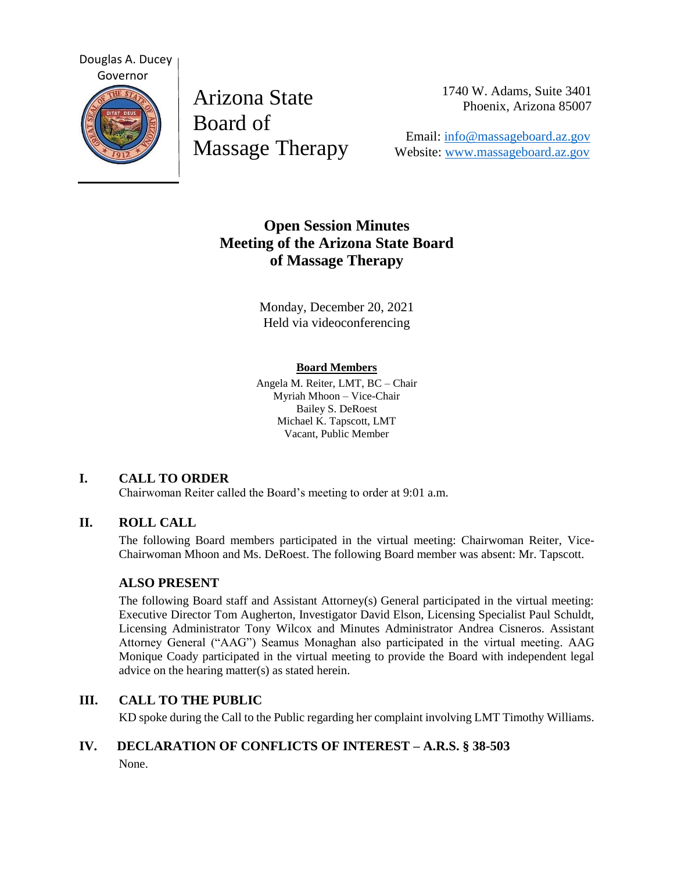

Arizona State Board of Massage Therapy 1740 W. Adams, Suite 3401 Phoenix, Arizona 85007

 Email: [info@massageboard.az.gov](mailto:info@massageboard.az.gov) Website: [www.massageboard.az.gov](http://www.massageboard.az.gov/)

# **Open Session Minutes Meeting of the Arizona State Board of Massage Therapy**

Monday, December 20, 2021 Held via videoconferencing

#### **Board Members**

Angela M. Reiter, LMT, BC – Chair Myriah Mhoon – Vice-Chair Bailey S. DeRoest Michael K. Tapscott, LMT Vacant, Public Member

## **I. CALL TO ORDER**

Chairwoman Reiter called the Board's meeting to order at 9:01 a.m.

## **II. ROLL CALL**

The following Board members participated in the virtual meeting: Chairwoman Reiter, Vice-Chairwoman Mhoon and Ms. DeRoest. The following Board member was absent: Mr. Tapscott.

## **ALSO PRESENT**

The following Board staff and Assistant Attorney(s) General participated in the virtual meeting: Executive Director Tom Augherton, Investigator David Elson, Licensing Specialist Paul Schuldt, Licensing Administrator Tony Wilcox and Minutes Administrator Andrea Cisneros. Assistant Attorney General ("AAG") Seamus Monaghan also participated in the virtual meeting. AAG Monique Coady participated in the virtual meeting to provide the Board with independent legal advice on the hearing matter(s) as stated herein.

## **III. CALL TO THE PUBLIC**

KD spoke during the Call to the Public regarding her complaint involving LMT Timothy Williams.

## **IV. DECLARATION OF CONFLICTS OF INTEREST – A.R.S. § 38-503** None.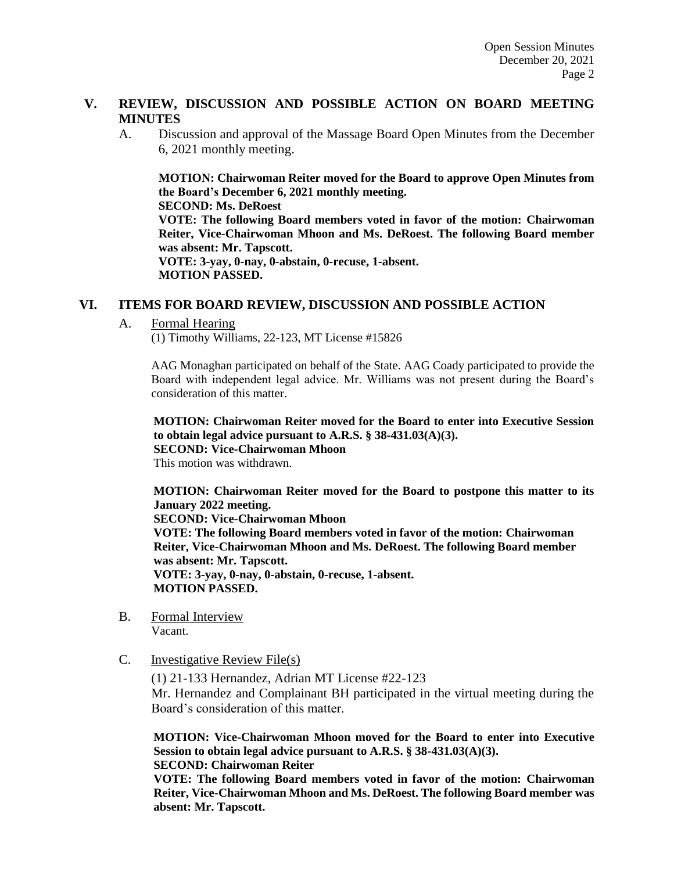#### **V. REVIEW, DISCUSSION AND POSSIBLE ACTION ON BOARD MEETING MINUTES**

A. Discussion and approval of the Massage Board Open Minutes from the December 6, 2021 monthly meeting.

**MOTION: Chairwoman Reiter moved for the Board to approve Open Minutes from the Board's December 6, 2021 monthly meeting. SECOND: Ms. DeRoest**

**VOTE: The following Board members voted in favor of the motion: Chairwoman Reiter, Vice-Chairwoman Mhoon and Ms. DeRoest. The following Board member was absent: Mr. Tapscott.**

**VOTE: 3-yay, 0-nay, 0-abstain, 0-recuse, 1-absent. MOTION PASSED.** 

#### **VI. ITEMS FOR BOARD REVIEW, DISCUSSION AND POSSIBLE ACTION**

A. Formal Hearing

(1) Timothy Williams, 22-123, MT License #15826

AAG Monaghan participated on behalf of the State. AAG Coady participated to provide the Board with independent legal advice. Mr. Williams was not present during the Board's consideration of this matter.

**MOTION: Chairwoman Reiter moved for the Board to enter into Executive Session to obtain legal advice pursuant to A.R.S. § 38-431.03(A)(3). SECOND: Vice-Chairwoman Mhoon** This motion was withdrawn.

**MOTION: Chairwoman Reiter moved for the Board to postpone this matter to its** 

**January 2022 meeting. SECOND: Vice-Chairwoman Mhoon VOTE: The following Board members voted in favor of the motion: Chairwoman Reiter, Vice-Chairwoman Mhoon and Ms. DeRoest. The following Board member was absent: Mr. Tapscott. VOTE: 3-yay, 0-nay, 0-abstain, 0-recuse, 1-absent. MOTION PASSED.** 

- B. Formal Interview Vacant.
- C. Investigative Review File(s)

(1) 21-133 Hernandez, Adrian MT License #22-123 Mr. Hernandez and Complainant BH participated in the virtual meeting during the Board's consideration of this matter.

**MOTION: Vice-Chairwoman Mhoon moved for the Board to enter into Executive Session to obtain legal advice pursuant to A.R.S. § 38-431.03(A)(3). SECOND: Chairwoman Reiter** 

**VOTE: The following Board members voted in favor of the motion: Chairwoman Reiter, Vice-Chairwoman Mhoon and Ms. DeRoest. The following Board member was absent: Mr. Tapscott.**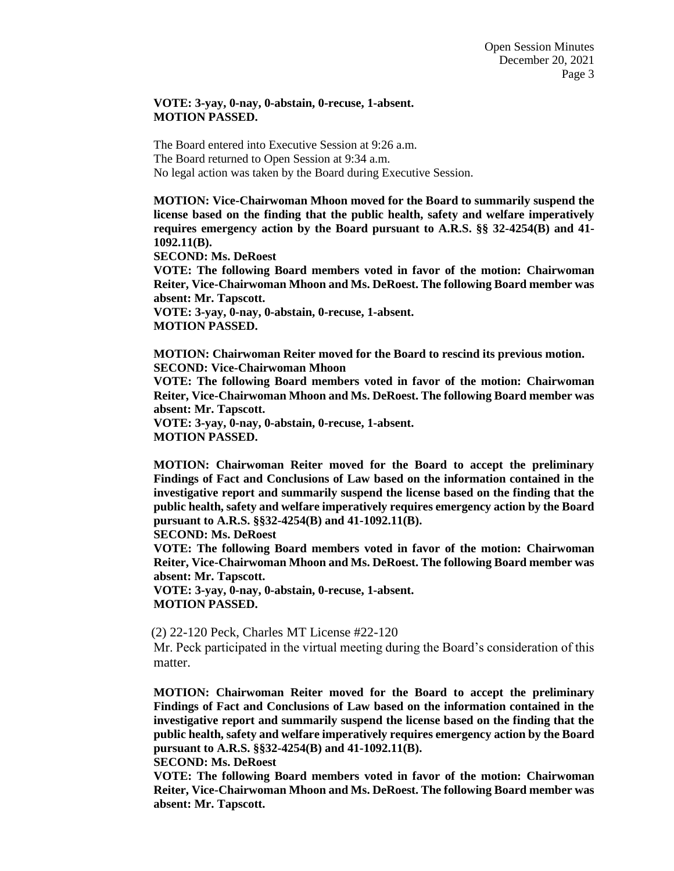#### **VOTE: 3-yay, 0-nay, 0-abstain, 0-recuse, 1-absent. MOTION PASSED.**

The Board entered into Executive Session at 9:26 a.m. The Board returned to Open Session at 9:34 a.m. No legal action was taken by the Board during Executive Session.

**MOTION: Vice-Chairwoman Mhoon moved for the Board to summarily suspend the license based on the finding that the public health, safety and welfare imperatively requires emergency action by the Board pursuant to A.R.S. §§ 32-4254(B) and 41- 1092.11(B).** 

**SECOND: Ms. DeRoest** 

**VOTE: The following Board members voted in favor of the motion: Chairwoman Reiter, Vice-Chairwoman Mhoon and Ms. DeRoest. The following Board member was absent: Mr. Tapscott.**

**VOTE: 3-yay, 0-nay, 0-abstain, 0-recuse, 1-absent. MOTION PASSED.** 

**MOTION: Chairwoman Reiter moved for the Board to rescind its previous motion. SECOND: Vice-Chairwoman Mhoon** 

**VOTE: The following Board members voted in favor of the motion: Chairwoman Reiter, Vice-Chairwoman Mhoon and Ms. DeRoest. The following Board member was absent: Mr. Tapscott.**

**VOTE: 3-yay, 0-nay, 0-abstain, 0-recuse, 1-absent. MOTION PASSED.** 

**MOTION: Chairwoman Reiter moved for the Board to accept the preliminary Findings of Fact and Conclusions of Law based on the information contained in the investigative report and summarily suspend the license based on the finding that the public health, safety and welfare imperatively requires emergency action by the Board pursuant to A.R.S. §§32-4254(B) and 41-1092.11(B).** 

**SECOND: Ms. DeRoest** 

**VOTE: The following Board members voted in favor of the motion: Chairwoman Reiter, Vice-Chairwoman Mhoon and Ms. DeRoest. The following Board member was absent: Mr. Tapscott.**

**VOTE: 3-yay, 0-nay, 0-abstain, 0-recuse, 1-absent. MOTION PASSED.** 

(2) 22-120 Peck, Charles MT License #22-120

Mr. Peck participated in the virtual meeting during the Board's consideration of this matter.

**MOTION: Chairwoman Reiter moved for the Board to accept the preliminary Findings of Fact and Conclusions of Law based on the information contained in the investigative report and summarily suspend the license based on the finding that the public health, safety and welfare imperatively requires emergency action by the Board pursuant to A.R.S. §§32-4254(B) and 41-1092.11(B).** 

**SECOND: Ms. DeRoest** 

**VOTE: The following Board members voted in favor of the motion: Chairwoman Reiter, Vice-Chairwoman Mhoon and Ms. DeRoest. The following Board member was absent: Mr. Tapscott.**